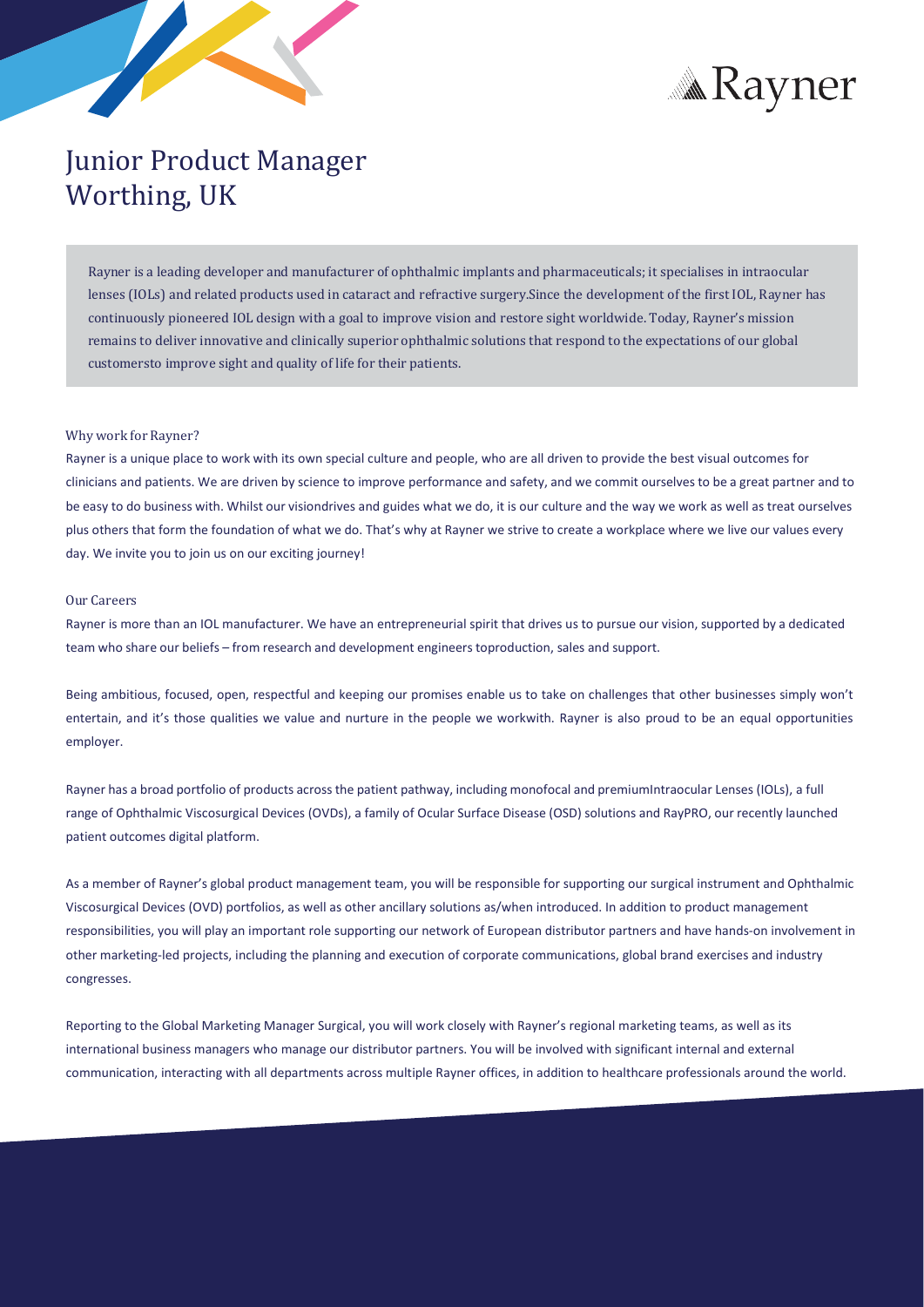



# Junior Product Manager Worthing, UK

Rayner is a leading developer and manufacturer of ophthalmic implants and pharmaceuticals; it specialises in intraocular lenses (IOLs) and related products used in cataract and refractive surgery.Since the development of the first IOL, Rayner has continuously pioneered IOL design with a goal to improve vision and restore sight worldwide. Today, Rayner's mission remains to deliver innovative and clinically superior ophthalmic solutions that respond to the expectations of our global customersto improve sight and quality of life for their patients.

## Why work for Rayner?

Rayner is a unique place to work with its own special culture and people, who are all driven to provide the best visual outcomes for clinicians and patients. We are driven by science to improve performance and safety, and we commit ourselves to be a great partner and to be easy to do business with. Whilst our visiondrives and guides what we do, it is our culture and the way we work as well as treat ourselves plus others that form the foundation of what we do. That's why at Rayner we strive to create a workplace where we live our values every day. We invite you to join us on our exciting journey!

## Our Careers

Rayner is more than an IOL manufacturer. We have an entrepreneurial spirit that drives us to pursue our vision, supported by a dedicated team who share our beliefs – from research and development engineerstoproduction, sales and support.

Being ambitious, focused, open, respectful and keeping our promises enable us to take on challenges that other businesses simply won't entertain, and it's those qualities we value and nurture in the people we workwith. Rayner is also proud to be an equal opportunities employer.

Rayner has a broad portfolio of products acrossthe patient pathway, including monofocal and premiumIntraocular Lenses (IOLs), a full range of Ophthalmic Viscosurgical Devices (OVDs), a family of Ocular Surface Disease (OSD) solutions and RayPRO, our recently launched patient outcomes digital platform.

As a member of Rayner's global product management team, you will be responsible for supporting our surgical instrument and Ophthalmic Viscosurgical Devices (OVD) portfolios, as well as other ancillary solutions as/when introduced. In addition to product management responsibilities, you will play an important role supporting our network of European distributor partners and have hands-on involvement in other marketing-led projects, including the planning and execution of corporate communications, global brand exercises and industry congresses.

Reporting to the Global Marketing Manager Surgical, you will work closely with Rayner's regional marketing teams, as well as its international business managers who manage our distributor partners. You will be involved with significant internal and external communication, interacting with all departments across multiple Rayner offices, in addition to healthcare professionals around the world.